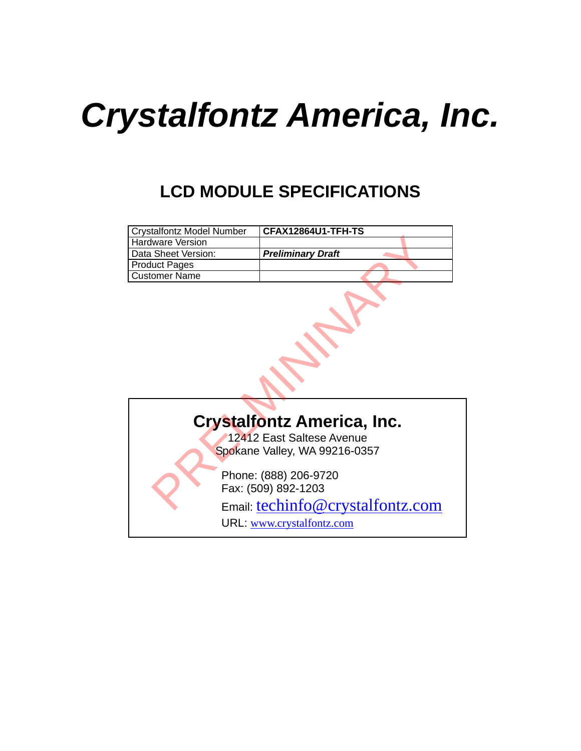# *Crystalfontz America, Inc.*

## **LCD MODULE SPECIFICATIONS**

| <b>Crystalfontz Model Number</b> | CFAX12864U1-TFH-TS                                                                              |
|----------------------------------|-------------------------------------------------------------------------------------------------|
| <b>Hardware Version</b>          |                                                                                                 |
| Data Sheet Version:              | <b>Preliminary Draft</b>                                                                        |
| <b>Product Pages</b>             |                                                                                                 |
| <b>Customer Name</b>             |                                                                                                 |
|                                  |                                                                                                 |
|                                  | <b>Crystalfontz America, Inc.</b><br>12412 East Saltese Avenue<br>Spokane Valley, WA 99216-0357 |
|                                  | Phone: (888) 206-9720<br>Fax: (509) 892-1203                                                    |
|                                  | Email: techinfo@crystalfontz.com                                                                |



Email: techinfo@crystalfontz.com

URL: www.crystalfontz.com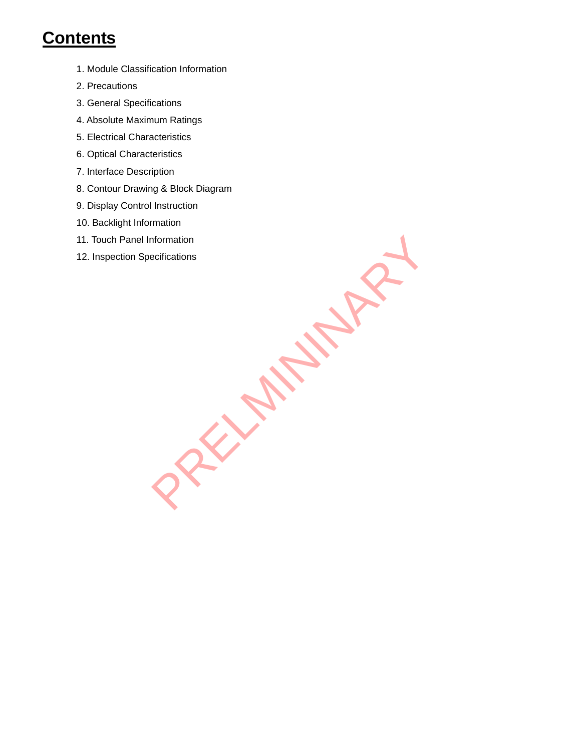### **Contents**

- 1. Module Classification Information
- 2. Precautions
- 3. General Specifications
- 4. Absolute Maximum Ratings
- 5. Electrical Characteristics
- 6. Optical Characteristics
- 7. Interface Description
- 8. Contour Drawing & Block Diagram
- 9. Display Control Instruction
- 10. Backlight Information
- 11. Touch Panel Information
- 12. Inspection Specifications

PRECISCOSION AND MANUSCRIPTION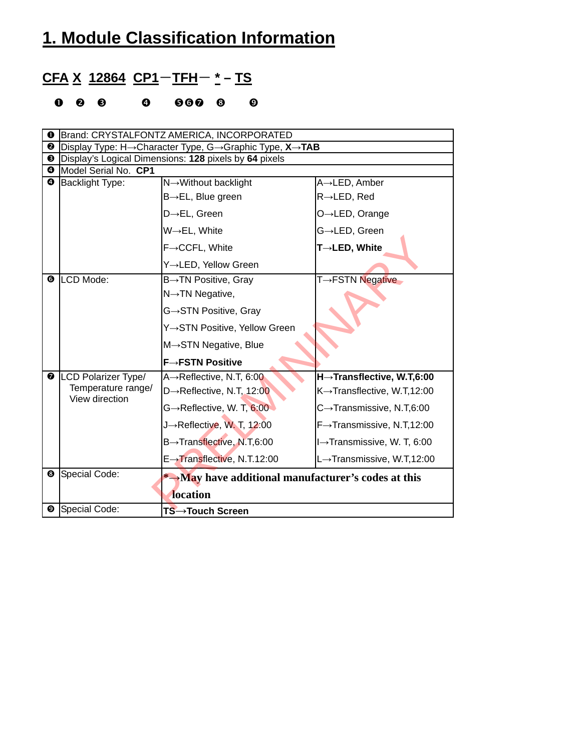## **1. Module Classification Information**

### **CFA X 12864 CP1**-**TFH**- **\* – TS**

### $0$   $0$   $0$   $0$   $0$   $0$   $0$   $0$   $0$

| $\mathbf 0$ | Brand: CRYSTALFONTZ AMERICA, INCORPORATED                      |                                                     |                            |  |  |  |  |  |
|-------------|----------------------------------------------------------------|-----------------------------------------------------|----------------------------|--|--|--|--|--|
| ❷           | Display Type: H→Character Type, G→Graphic Type, X→TAB          |                                                     |                            |  |  |  |  |  |
|             | <b>8</b> Display's Logical Dimensions: 128 pixels by 64 pixels |                                                     |                            |  |  |  |  |  |
| ❹           | Model Serial No. CP1                                           |                                                     |                            |  |  |  |  |  |
| ❹           | Backlight Type:                                                | N→Without backlight                                 | A→LED, Amber               |  |  |  |  |  |
|             |                                                                | B→EL, Blue green                                    | R→LED, Red                 |  |  |  |  |  |
|             |                                                                | D→EL, Green                                         | O→LED, Orange              |  |  |  |  |  |
|             |                                                                | W→EL, White                                         | G→LED, Green               |  |  |  |  |  |
|             |                                                                | F→CCFL, White                                       | T→LED, White               |  |  |  |  |  |
|             |                                                                | Y→LED, Yellow Green                                 |                            |  |  |  |  |  |
| ❺           | LCD Mode:                                                      | B→TN Positive, Gray                                 | T→FSTN Negative            |  |  |  |  |  |
|             |                                                                | N→TN Negative,                                      |                            |  |  |  |  |  |
|             |                                                                | G→STN Positive, Gray                                |                            |  |  |  |  |  |
|             |                                                                | Y→STN Positive, Yellow Green                        |                            |  |  |  |  |  |
|             |                                                                | M→STN Negative, Blue                                |                            |  |  |  |  |  |
|             |                                                                | <b>F→FSTN Positive</b>                              |                            |  |  |  |  |  |
|             | <b>O</b> LCD Polarizer Type/                                   | A→Reflective, N.T, 6:00                             | H→Transflective, W.T,6:00  |  |  |  |  |  |
|             | Temperature range/<br>View direction                           | D→Reflective, N.T, 12:00                            | K→Transflective, W.T.12:00 |  |  |  |  |  |
|             |                                                                | G→Reflective, W. T, 6:00                            | C→Transmissive, N.T,6:00   |  |  |  |  |  |
|             |                                                                | J→Reflective, W. T, 12:00                           | F→Transmissive, N.T,12:00  |  |  |  |  |  |
|             |                                                                | B→Transflective, N.T,6:00                           | I→Transmissive, W. T, 6:00 |  |  |  |  |  |
|             |                                                                | E→Transflective, N.T.12:00                          | L→Transmissive, W.T,12:00  |  |  |  |  |  |
| ❸           | Special Code:                                                  | *->May have additional manufacturer's codes at this |                            |  |  |  |  |  |
|             |                                                                | <b>location</b>                                     |                            |  |  |  |  |  |
|             | <b><sup>9</sup></b> Special Code:                              | TS→Touch Screen                                     |                            |  |  |  |  |  |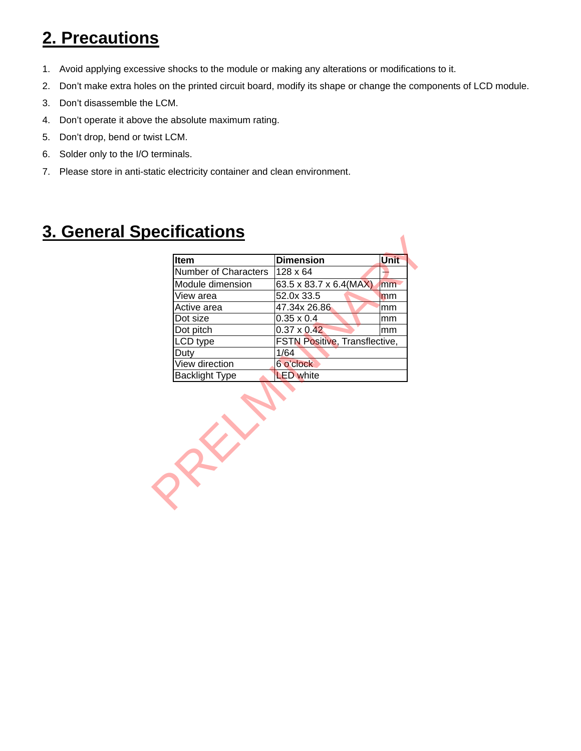### **2. Precautions**

- 1. Avoid applying excessive shocks to the module or making any alterations or modifications to it.
- 2. Don't make extra holes on the printed circuit board, modify its shape or change the components of LCD module.
- 3. Don't disassemble the LCM.
- 4. Don't operate it above the absolute maximum rating.
- 5. Don't drop, bend or twist LCM.
- 6. Solder only to the I/O terminals.
- 7. Please store in anti-static electricity container and clean environment.

### **3. General Specifications**

| 128 x 64<br>63.5 x 83.7 x 6.4(MAX)<br>52.0x 33.5<br>47.34x 26.86<br>$0.35 \times 0.4$<br>$0.37 \times 0.42$<br>FSTN Positive, Transflective,<br>1/64<br>6 o'clock | mm<br>mm<br>mm |
|-------------------------------------------------------------------------------------------------------------------------------------------------------------------|----------------|
|                                                                                                                                                                   |                |
|                                                                                                                                                                   |                |
|                                                                                                                                                                   |                |
|                                                                                                                                                                   | mm<br>mm       |
|                                                                                                                                                                   |                |
|                                                                                                                                                                   |                |
|                                                                                                                                                                   |                |
|                                                                                                                                                                   |                |
|                                                                                                                                                                   |                |
| <b>LED</b> white                                                                                                                                                  |                |
|                                                                                                                                                                   |                |
|                                                                                                                                                                   |                |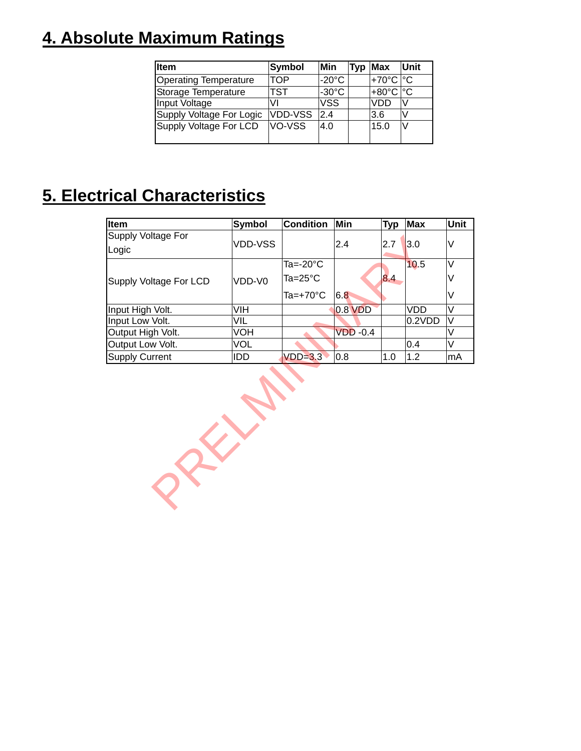### **4. Absolute Maximum Ratings**

| <b>Item</b>                  | <b>Symbol</b> | Min             | Typ | Max             | Unit |
|------------------------------|---------------|-----------------|-----|-----------------|------|
| <b>Operating Temperature</b> | TOP           | $-20^{\circ}$ C |     | +70°C   °C      |      |
| Storage Temperature          | TST           | $-30^{\circ}$ C |     | $+80^{\circ}$ C | °C   |
| Input Voltage                | VI            | <b>VSS</b>      |     | VDD             |      |
| Supply Voltage For Logic     | VDD-VSS       | 2.4             |     | l3.6            |      |
| Supply Voltage For LCD       | VO-VSS        | 4.0             |     | 15.0            |      |

### **5. Electrical Characteristics**

| Item                   | <b>Symbol</b>  | <b>Condition</b>    | Min        | <b>Typ</b> | <b>Max</b> | <b>Unit</b>             |  |  |
|------------------------|----------------|---------------------|------------|------------|------------|-------------------------|--|--|
| Supply Voltage For     |                |                     |            |            |            |                         |  |  |
| Logic                  | <b>VDD-VSS</b> |                     | 2.4        | 2.7        | 3.0        | V                       |  |  |
|                        |                | Ta=-20 $^{\circ}$ C |            |            | 10.5       | $\overline{\mathsf{V}}$ |  |  |
| Supply Voltage For LCD | VDD-V0         | Ta= $25^{\circ}$ C  |            | 8.4        |            | V                       |  |  |
|                        |                | Ta=+70 $^{\circ}$ C | 6.8        |            |            | V                       |  |  |
| Input High Volt.       | VIH            |                     | $0.8$ VDD  |            | <b>VDD</b> | $\overline{\vee}$       |  |  |
| Input Low Volt.        | VIL            |                     |            |            | 0.2VDD     | $\overline{\mathsf{V}}$ |  |  |
| Output High Volt.      | VOH            |                     | $VDD -0.4$ |            |            | V                       |  |  |
| Output Low Volt.       | VOL            |                     |            |            | 0.4        | V                       |  |  |
| <b>Supply Current</b>  | <b>IDD</b>     | $VDD=3.3$           | 0.8        | 1.0        | 1.2        | mA                      |  |  |
|                        |                |                     |            |            |            |                         |  |  |
|                        |                |                     |            |            |            |                         |  |  |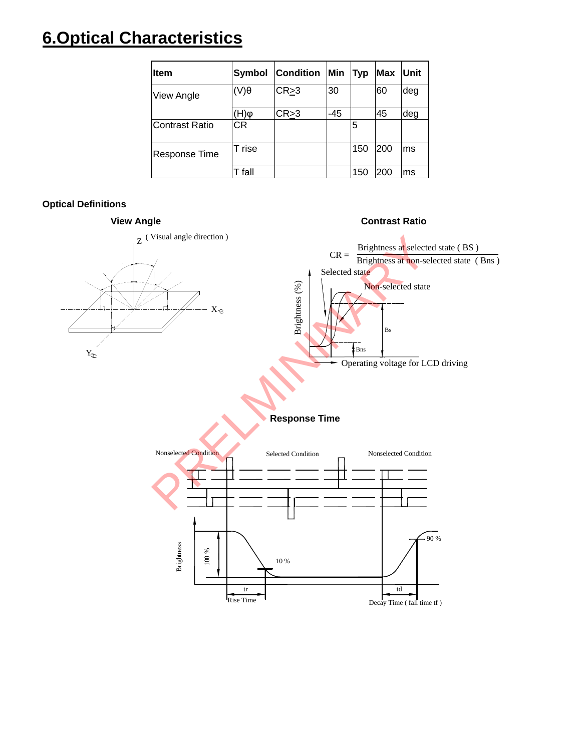## **6.Optical Characteristics**

| <b>Item</b>          | Symbol      | <b>Condition</b> | Min | <b>Typ</b> | <b>Max</b> | Unit |
|----------------------|-------------|------------------|-----|------------|------------|------|
| View Angle           | $(V)\theta$ | CR > 3           | 30  |            | 60         | deg  |
|                      | (Н)φ        | CR > 3           | -45 |            | 45         | deg  |
| Contrast Ratio       | CR          |                  |     | 5          |            |      |
| <b>Response Time</b> | T rise      |                  |     | 150        | 200        | lms  |
|                      | fall        |                  |     | 150        | 200        | lms  |

#### **Optical Definitions**

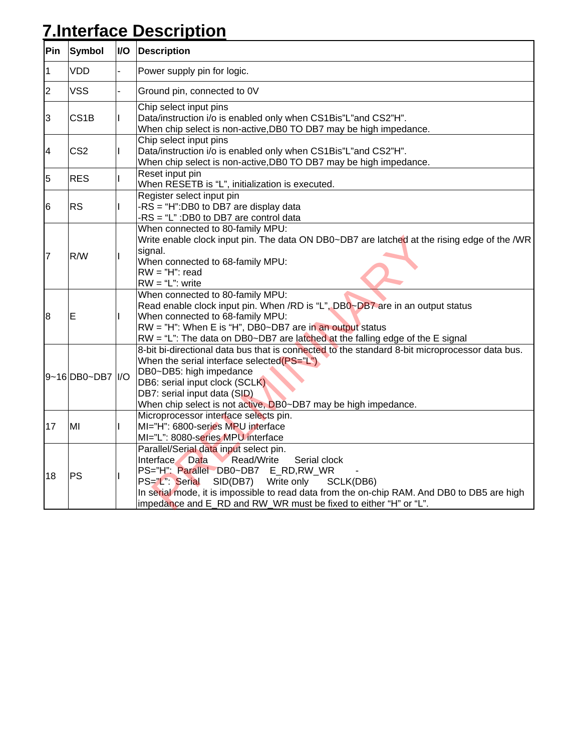# **7.Interface Description**

| Pin            | Symbol            | <b>VO</b> | <b>Description</b>                                                                                                                                                                                                                                                                                                                                           |
|----------------|-------------------|-----------|--------------------------------------------------------------------------------------------------------------------------------------------------------------------------------------------------------------------------------------------------------------------------------------------------------------------------------------------------------------|
| $\mathbf 1$    | <b>VDD</b>        |           | Power supply pin for logic.                                                                                                                                                                                                                                                                                                                                  |
| $\overline{2}$ | <b>VSS</b>        |           | Ground pin, connected to 0V                                                                                                                                                                                                                                                                                                                                  |
| 3              | CS <sub>1</sub> B |           | Chip select input pins<br>Data/instruction i/o is enabled only when CS1Bis"L"and CS2"H".<br>When chip select is non-active, DB0 TO DB7 may be high impedance.                                                                                                                                                                                                |
| 4              | CS <sub>2</sub>   |           | Chip select input pins<br>Data/instruction i/o is enabled only when CS1Bis"L"and CS2"H".<br>When chip select is non-active, DB0 TO DB7 may be high impedance.                                                                                                                                                                                                |
| 5              | <b>RES</b>        |           | Reset input pin<br>When RESETB is "L", initialization is executed.                                                                                                                                                                                                                                                                                           |
| 6              | <b>RS</b>         |           | Register select input pin<br>$-RS = "H":DB0$ to DB7 are display data<br>$-RS = "L" : DB0$ to DB7 are control data                                                                                                                                                                                                                                            |
| 7              | R/W               |           | When connected to 80-family MPU:<br>Write enable clock input pin. The data ON DB0~DB7 are latched at the rising edge of the /WR<br>signal.<br>When connected to 68-family MPU:<br>$RW = "H": read$<br>$RW = "L": write$                                                                                                                                      |
| 8              | E                 |           | When connected to 80-family MPU:<br>Read enable clock input pin. When /RD is "L", DB0~DB7 are in an output status<br>When connected to 68-family MPU:<br>$RW = "H"$ : When E is "H", DB0~DB7 are in an output status<br>RW = "L": The data on DB0~DB7 are latched at the falling edge of the E signal                                                        |
|                | 9~16 DB0~DB7  I/O |           | 8-bit bi-directional data bus that is connected to the standard 8-bit microprocessor data bus.<br>When the serial interface selected(PS="L")<br>DB0~DB5: high impedance<br>DB6: serial input clock (SCLK)<br>DB7: serial input data (SID)<br>When chip select is not active, DB0~DB7 may be high impedance.                                                  |
| 17             | MI                |           | Microprocessor interface selects pin.<br>MI="H": 6800-series MPU interface<br>MI="L": 8080-series MPU interface                                                                                                                                                                                                                                              |
| 18             | PS                |           | Parallel/Serial data input select pin.<br>Read/Write<br>Interface<br>Data<br>Serial clock<br>PS="H": Parallel DB0~DB7 E_RD,RW_WR<br>Write only<br>SCLK(DB6)<br>PS="L": Serial<br>SID(DB7)<br>In serial mode, it is impossible to read data from the on-chip RAM. And DB0 to DB5 are high<br>impedance and E_RD and RW_WR must be fixed to either "H" or "L". |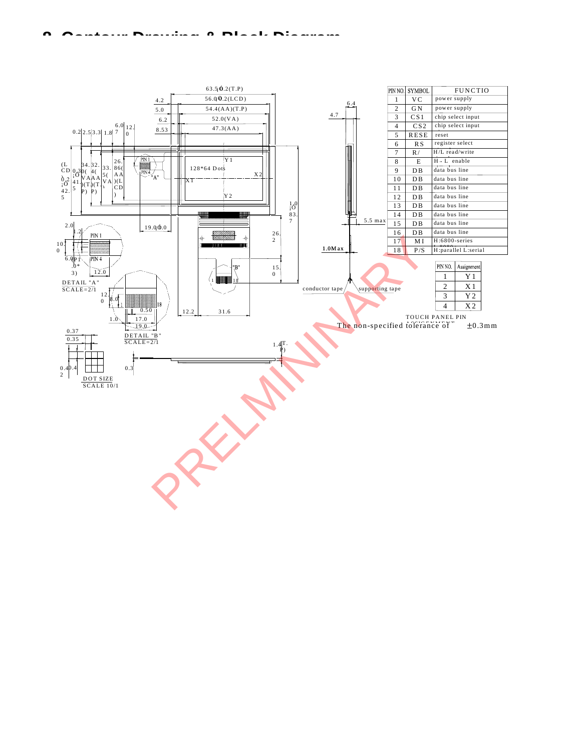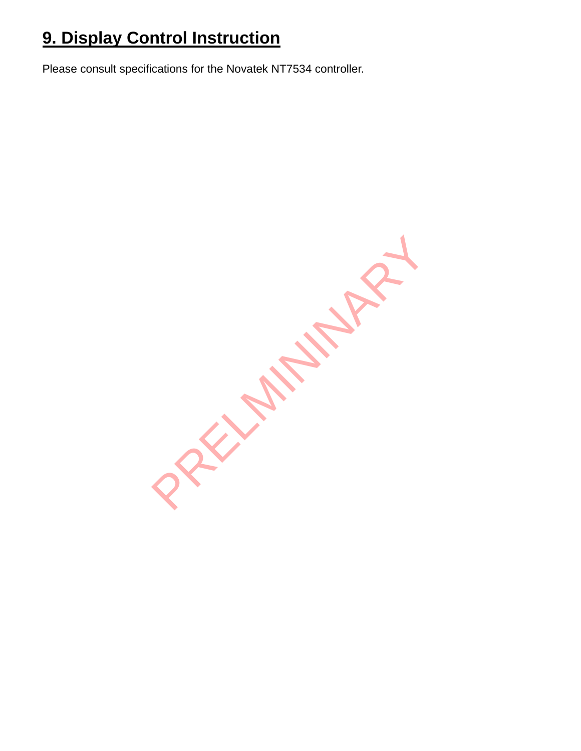### **9. Display Control Instruction**

Please consult specifications for the Novatek NT7534 controller.

PRELIMINING C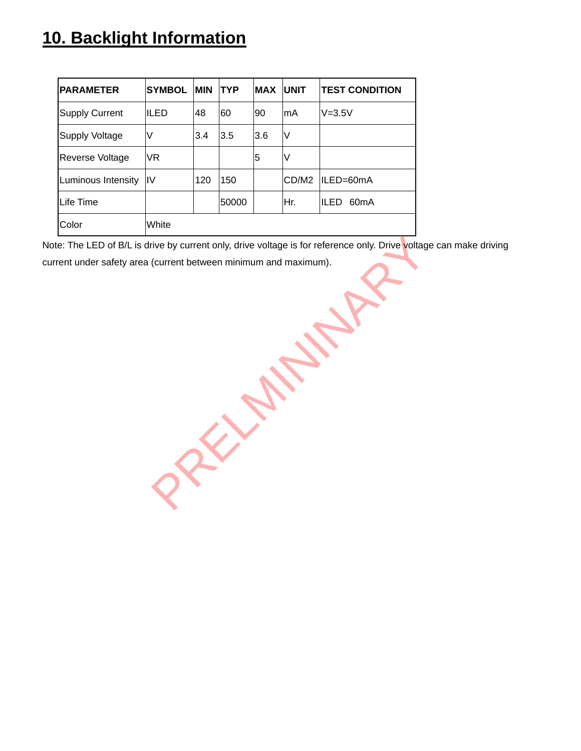### **10. Backlight Information**

| <b>PARAMETER</b>       | <b>SYMBOL</b> | <b>MIN</b> | <b>TYP</b> | <b>MAX</b> | <b>UNIT</b> | <b>TEST CONDITION</b>             |
|------------------------|---------------|------------|------------|------------|-------------|-----------------------------------|
| <b>Supply Current</b>  | <b>ILED</b>   | 148        | 60         | 90         | lmA         | $V = 3.5V$                        |
| <b>Supply Voltage</b>  | V             | 3.4        | 3.5        | 3.6        | ν           |                                   |
| <b>Reverse Voltage</b> | VR            |            |            | 5          | V           |                                   |
| Luminous Intensity     | IV            | 120        | 150        |            |             | CD/M2  ILED=60mA                  |
| Life Time              |               |            | 50000      |            | Hr.         | <b>IILED</b><br>60 <sub>m</sub> A |
| Color                  | White         |            |            |            |             |                                   |

Note: The LED of B/L is drive by current only, drive voltage is for reference only. Drive voltage can make driving current under safety area (current between minimum and maximum).

rive by current only, drive voltage is for reference only. Drive voltage<br>(current between minimum and maximum).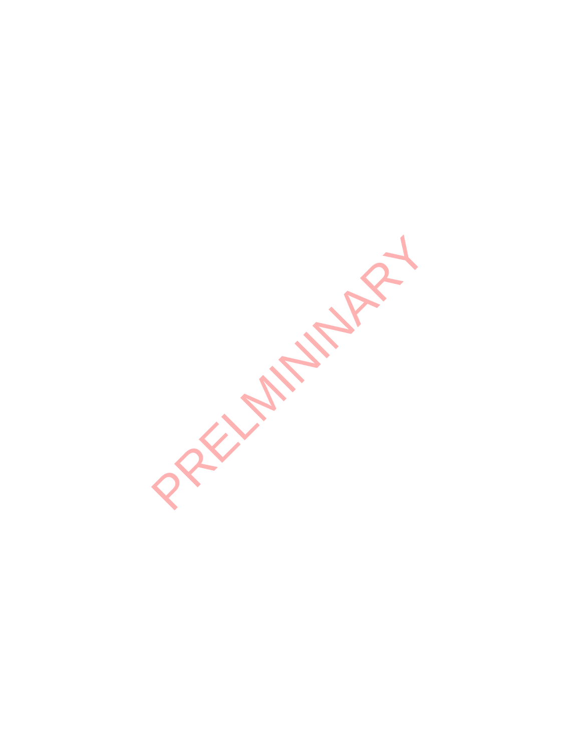PRELIMINING WAS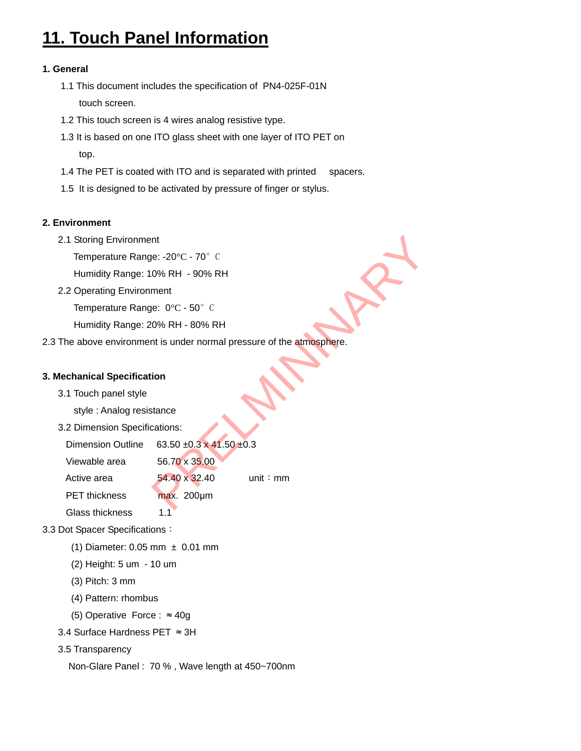### **11. Touch Panel Information**

#### **1. General**

- 1.1 This document includes the specification of PN4-025F-01N touch screen.
- 1.2 This touch screen is 4 wires analog resistive type.
- 1.3 It is based on one ITO glass sheet with one layer of ITO PET on top.
- 1.4 The PET is coated with ITO and is separated with printed spacers.
- 1.5 It is designed to be activated by pressure of finger or stylus.

#### **2. Environment**

2.1 Storing Environment

Temperature Range: -20°C - 70° C

Humidity Range: 10% RH - 90% RH

2.2 Operating Environment

Temperature Range: 0°C - 50° C

Humidity Range: 20% RH - 80% RH

2.3 The above environment is under normal pressure of the atmosphere. Int<br>
Pe:  $-20^{\circ}\text{C}$  - 70° C<br>
0% RH - 90% RH<br>
ment<br>
Pe:  $0^{\circ}\text{C}$  - 50° C<br>
0% RH - 80% RH<br>
mt is under normal pressure of the atmosphere.<br>
ion<br>
stance<br>
cations:<br>
63.50 ±0.3 x 41.50 ±0.3<br>
56.70 x 35.00<br>
54.40 x 32.40<br>

#### **3. Mechanical Specification**

- 3.1 Touch panel style
	- style : Analog resistance
- 3.2 Dimension Specifications:
	- Dimension Outline 63.50  $\pm 0.3 \times 41.50 \pm 0.3$
	- Viewable area  $56.70 \times 35.00$
	- Active area  $54.40 \times 32.40$  unit: mm
	- PET thickness max. 200μm

3.3 Dot Spacer Specifications:

- (1) Diameter: 0.05 mm ± 0.01 mm
- (2) Height: 5 um 10 um

Glass thickness 1.1

- (3) Pitch: 3 mm
- (4) Pattern: rhombus
- (5) Operative Force : ≈ 40g
- 3.4 Surface Hardness PET ≈ 3H
- 3.5 Transparency

Non-Glare Panel : 70 % , Wave length at 450~700nm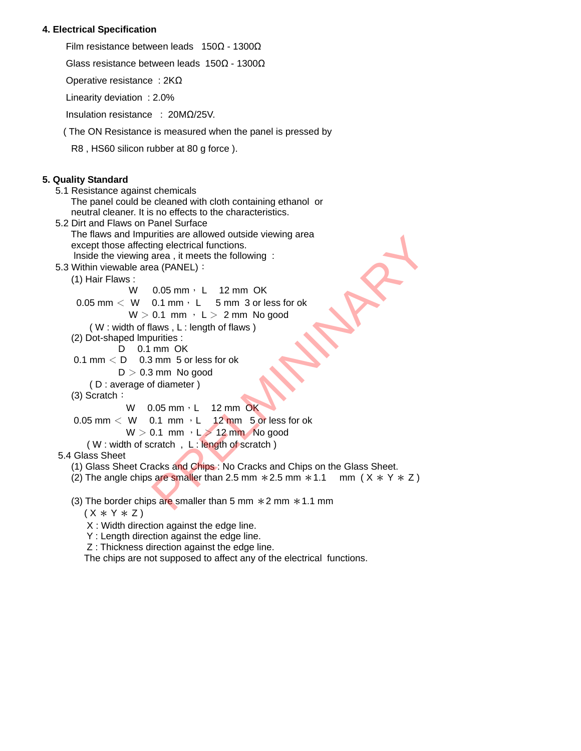#### **4. Electrical Specification**

Film resistance between leads 150Ω - 1300Ω

Glass resistance between leads 150Ω - 1300Ω

Operative resistance : 2KΩ

Linearity deviation : 2.0%

Insulation resistance : 20MΩ/25V.

( The ON Resistance is measured when the panel is pressed by

R8 , HS60 silicon rubber at 80 g force ).

#### **5. Quality Standard**

 5.1 Resistance against chemicals The panel could be cleaned with cloth containing ethanol or neutral cleaner. It is no effects to the characteristics.

- 5.2 Dirt and Flaws on Panel Surface The flaws and Impurities are allowed outside viewing area except those affecting electrical functions. lnside the viewing area , it meets the following : The site allowed outside viewing area<br>
ing electrical functions.<br>
area, it meets the following :<br>  $2(20.05 \text{ mm} \cdot \text{L} + 2 \text{ mm})$  OK<br>  $0.1 \text{ mm} \cdot \text{L} > 2 \text{ mm}$  No good<br>  $2(20.05 \text{ mm} \cdot \text{L} + 2 \text{ mm})$  No good<br>  $2(20.05 \text{ mm} \cdot$
- 5.3 Within viewable area (PANEL):
	- (1) Hair Flaws :

W 0.05 mm, L 12 mm OK

 $0.05$  mm  $\lt W$  0.1 mm  $\cdot$  L 5 mm 3 or less for ok

 $W > 0.1$  mm  $V > 2$  mm No good

- ( W : width of flaws , L : length of flaws )
- (2) Dot-shaped lmpurities :
	- $D = 0.1$  mm OK
- $0.1$  mm  $\leq D$  0.3 mm 5 or less for ok
	- $D > 0.3$  mm No good
	- ( D : average of diameter )
- (3) Scratch:

W  $0.05$  mm, L  $12$  mm OK

 $0.05$  mm  $\lt W$  0.1 mm  $\cdot$  L 12 mm 5 or less for ok

 $W > 0.1$  mm  $\cdot L > 12$  mm No good

- ( W : width of scratch, L : length of scratch)
- 5.4 Glass Sheet
	- (1) Glass Sheet Cracks and Chips : No Cracks and Chips on the Glass Sheet.
	- (2) The angle chips are smaller than 2.5 mm  $*2.5$  mm  $*1.1$  mm  $(X * Y * Z)$
	- (3) The border chips are smaller than 5 mm  $*2$  mm  $*1.1$  mm
		- $(X * Y * Z)$
		- X : Width direction against the edge line.
		- Y : Length direction against the edge line.
		- Z : Thickness direction against the edge line.

The chips are not supposed to affect any of the electrical functions.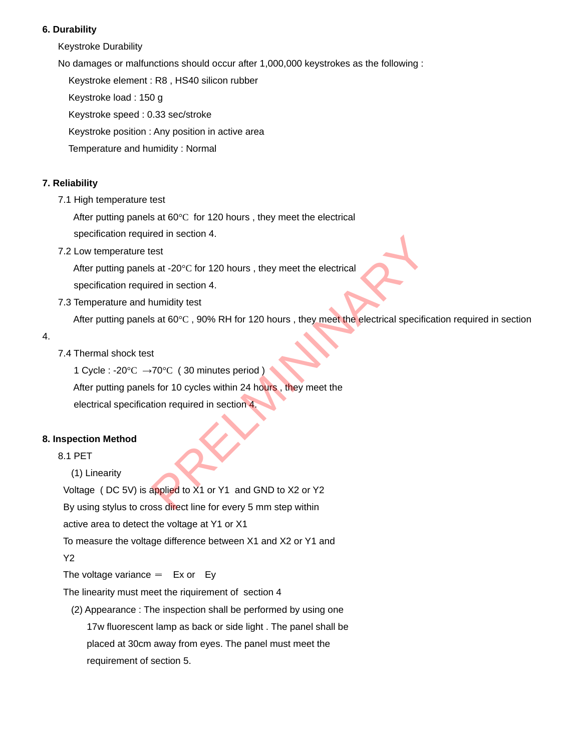#### **6. Durability**

Keystroke Durability

No damages or malfunctions should occur after 1,000,000 keystrokes as the following :

Keystroke element : R8 , HS40 silicon rubber

Keystroke load : 150 g

Keystroke speed : 0.33 sec/stroke

Keystroke position : Any position in active area

Temperature and humidity : Normal

#### **7. Reliability**

7.1 High temperature test

After putting panels at  $60^{\circ}$ C for 120 hours, they meet the electrical

specification required in section 4.

7.2 Low temperature test

After putting panels at -20 $\mathrm{^{\circ}C}$  for 120 hours, they meet the electrical

specification required in section 4.

7.3 Temperature and humidity test

 After putting panels at 60°C , 90% RH for 120 hours , they meet the electrical specification required in section ea in section 4.<br>
sat -20°C for 120 hours , they meet the electrical<br>
red in section 4.<br>
numidity test<br>
sat 60°C , 90% RH for 120 hours , they meet the electrical specific<br>
t<br>
t<br>
70°C (30 minutes period)<br>
sfor 10 cycles wi

#### 4.

#### 7.4 Thermal shock test

1 Cycle : -20 $^{\circ}$ C  $\rightarrow$ 70 $^{\circ}$ C (30 minutes period )

After putting panels for 10 cycles within 24 hours, they meet the

electrical specification required in section 4.

#### **8. Inspection Method**

8.1 PET

(1) Linearity

Voltage ( DC 5V) is applied to X1 or Y1 and GND to X2 or Y2

By using stylus to cross direct line for every 5 mm step within

active area to detect the voltage at Y1 or X1

To measure the voltage difference between X1 and X2 or Y1 and

Y2

The voltage variance  $=$  Ex or Ey

The linearity must meet the riquirement of section 4

 (2) Appearance : The inspection shall be performed by using one 17w fluorescent lamp as back or side light . The panel shall be placed at 30cm away from eyes. The panel must meet the requirement of section 5.